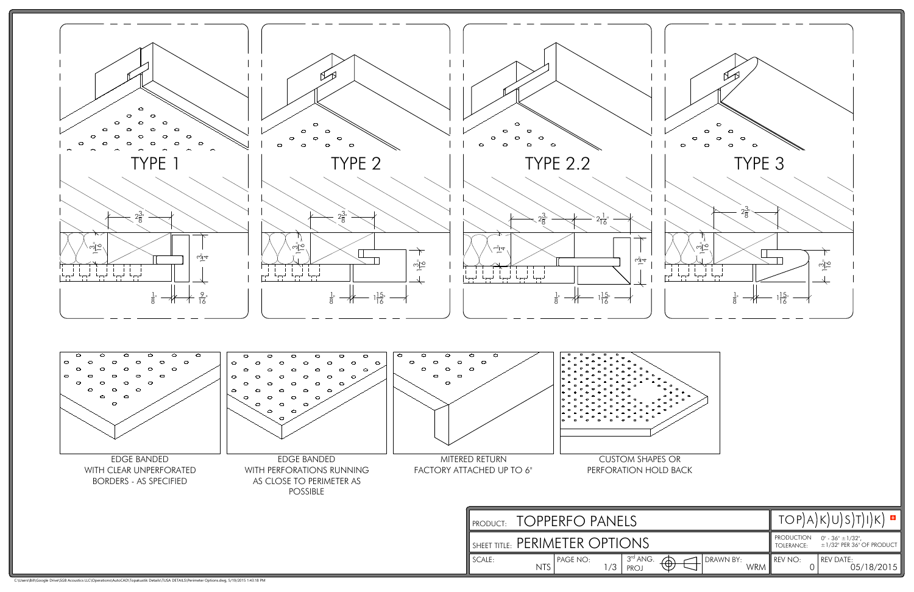| $\circ$<br>$\circ$<br>$\circ$                                                                                           | $\circ$<br>$\circ$<br>$\circ$                                                                                                                                                      |
|-------------------------------------------------------------------------------------------------------------------------|------------------------------------------------------------------------------------------------------------------------------------------------------------------------------------|
| $\circ$<br>$\circ$<br>$\circ$<br>$\circ$<br>$\circ$<br>$\circ$<br>$\circ$<br><b>TYPE 2.2</b>                            | $\circ$<br>$\circ$<br>$\circ$<br>$\circ$<br>$\circ$<br>$\circ$<br>$\circ$<br>TYPE 3                                                                                                |
| $2\frac{3}{8}$<br>$2\frac{1}{16}$<br>$-\frac{1}{4}$<br>ඨু⊡<br>$\pm 1$<br>جن فہری<br>$1\frac{15}{16}$<br>$\frac{1}{8}$   | $2\frac{3}{8}$<br>က $\overline{\mathcal{P}}$<br>$\frac{1}{\sqrt{2}}$<br>$1\frac{15}{16}$<br>$\frac{1}{8}$ "                                                                        |
| $\circ$<br>J.<br>$\circ$<br>$\sim$<br>J.<br>RETURN<br><b>CUSTOM SHAPES OR</b><br>CHED UP TO 6"<br>PERFORATION HOLD BACK |                                                                                                                                                                                    |
| <b>TOPPERFO PANELS</b><br>PRODUCT:                                                                                      | $TOP(A)K)U(S)T)I(K) =$                                                                                                                                                             |
| SHEET TITLE: PERIMETER OPTIONS<br>$3^{\text{rd}}$ ANG.<br>PAGE NO:<br>SCALE:<br><b>NTS</b><br>1/3<br><b>PROJ</b>        | <b>PRODUCTION</b><br>$0$ " - 36" $\pm$ 1/32",<br>$\pm$ 1/32" PER 36" OF PRODUCT<br>TOLERANCE:<br>DRAWN BY:<br>REV NO:<br>REV DATE:<br>05/18/2015<br>⊕<br><b>WRM</b><br>$\mathbf 0$ |

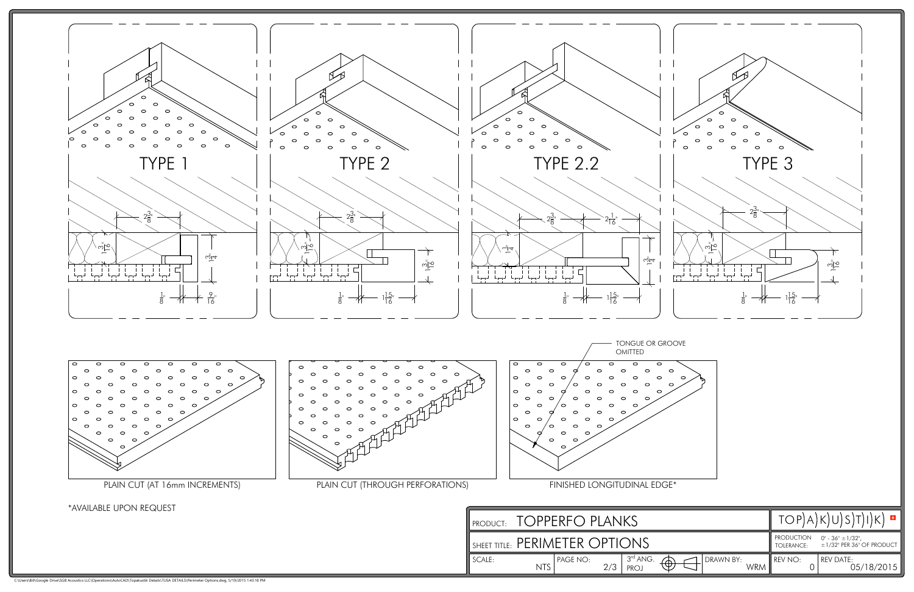